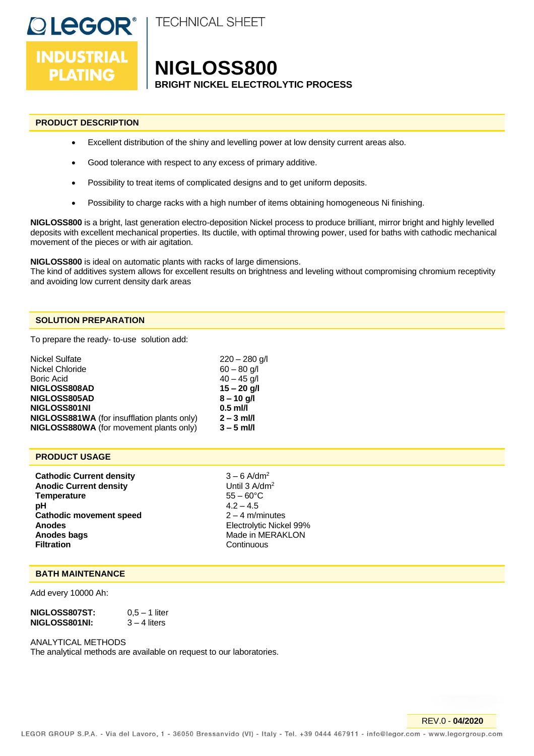

# **NIGLOSS800**

**BRIGHT NICKEL ELECTROLYTIC PROCESS**

# **PRODUCT DESCRIPTION**

**DLEGOR®** 

**INDUSTRIAL** 

**PLATING** 

- Excellent distribution of the shiny and levelling power at low density current areas also.
- Good tolerance with respect to any excess of primary additive.
- Possibility to treat items of complicated designs and to get uniform deposits.
- Possibility to charge racks with a high number of items obtaining homogeneous Ni finishing.

**NIGLOSS800** is a bright, last generation electro-deposition Nickel process to produce brilliant, mirror bright and highly levelled deposits with excellent mechanical properties. Its ductile, with optimal throwing power, used for baths with cathodic mechanical movement of the pieces or with air agitation.

**NIGLOSS800** is ideal on automatic plants with racks of large dimensions.

The kind of additives system allows for excellent results on brightness and leveling without compromising chromium receptivity and avoiding low current density dark areas

## **SOLUTION PREPARATION**

To prepare the ready- to-use solution add:

| Nickel Sulfate                                 | $220 - 280$ g/l |
|------------------------------------------------|-----------------|
| Nickel Chloride                                | $60 - 80$ g/l   |
| Boric Acid                                     | $40 - 45$ g/l   |
| NIGLOSS808AD                                   | $15 - 20$ g/l   |
| NIGLOSS805AD                                   | $8 - 10$ g/l    |
| NIGLOSS801NI                                   | $0.5$ ml/l      |
| NIGLOSS881WA (for insufflation plants only)    | $2 - 3$ ml/l    |
| <b>NIGLOSS880WA</b> (for movement plants only) | $3 - 5$ ml/l    |
|                                                |                 |

## **PRODUCT USAGE**

**Cathodic Current density** 3 – 6 A/dm<sup>2</sup> **Anodic Current density** Until 3 A/dm<sup>2</sup> **Temperature** 55 – 60°C **pH** 4.2 – 4.5 **Cathodic movement speed** 2-4 m/minutes **Anodes**<br> **Anodes bags**<br> **Anodes bags**<br> **Anodes bags**<br> **Anodes bags**<br> **Anodes**<br> **Anodes**<br> **Anodes**<br> **Anodes**<br> **Anodes Anodes bags** Made in MERAKLON<br> **Filtration** Continuous

**Continuous** 

## **BATH MAINTENANCE**

Add every 10000 Ah:

| NIGLOSS807ST: | $0.5 - 1$ liter |
|---------------|-----------------|
| NIGLOSS801NI: | $3 - 4$ liters  |

### ANALYTICAL METHODS

The analytical methods are available on request to our laboratories.